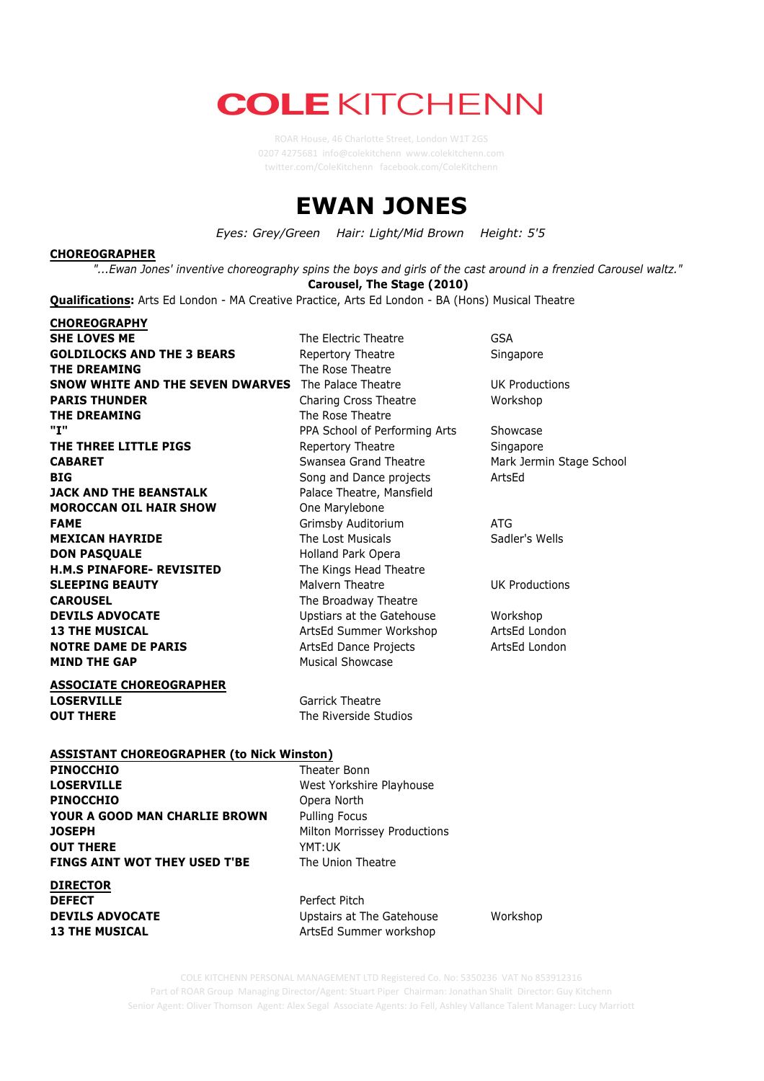# **COLE KITCHENN**

0207 4275681 info@colekitchenn www.colekitchenn.com twitter.com/ColeKitchenn facebook.com/ColeKitchenn

## **EWAN JONES**

*Eyes: Grey/Green Hair: Light/Mid Brown Height: 5'5*

#### **CHOREOGRAPHER**

"...Ewan Jones' inventive choreography spins the boys and girls of the cast around in a frenzied Carousel waltz." **Carousel, The Stage (2010)**

**Qualifications:** Arts Ed London - MA Creative Practice, Arts Ed London - BA (Hons) Musical Theatre

**CHOREOGRAPHY SHE LOVES ME** GSA **The Electric Theatre** GSA **GOLDILOCKS AND THE 3 BEARS** Repertory Theatre Singapore **THE DREAMING** The Rose Theatre **SNOW WHITE AND THE SEVEN DWARVES** The Palace Theatre **UK** Productions **PARIS THUNDER** Charing Cross Theatre Workshop **THE DREAMING** The Rose Theatre **"I"** PPA School of Performing Arts Showcase **THE THREE LITTLE PIGS** Repertory Theatre Singapore **CABARET** Swansea Grand Theatre Mark Jermin Stage School Stage School **BIG** BIG **Solution** Song and Dance projects **ArtsEd JACK AND THE BEANSTALK** Palace Theatre, Mansfield **MOROCCAN OIL HAIR SHOW** One Marylebone **FAME EXAME Grimsby Auditorium ATG MEXICAN HAYRIDE** The Lost Musicals Sadler's Wells **DON PASQUALE** Holland Park Opera **H.M.S PINAFORE- REVISITED** The Kings Head Theatre **SLEEPING BEAUTY** Malvern Theatre **Malvern Theatre** UK Productions **CAROUSEL** The Broadway Theatre **DEVILS ADVOCATE** Upstiars at the Gatehouse Workshop **13 THE MUSICAL ArtsEd Summer Workshop ArtsEd London NOTRE DAME DE PARIS** ArtsEd Dance Projects ArtsEd London **MIND THE GAP** Musical Showcase

**ASSOCIATE CHOREOGRAPHER LOSERVILLE** Garrick Theatre **OUT THERE** The Riverside Studios

#### **ASSISTANT CHOREOGRAPHER (to Nick Winston)**

**PINOCCHIO** Theater Bonn **LOSERVILLE** West Yorkshire Playhouse **PINOCCHIO** Opera North **YOUR A GOOD MAN CHARLIE BROWN** Pulling Focus **JOSEPH** Milton Morrissey Productions **OUT THERE** YMT:UK **FINGS AINT WOT THEY USED T'BE** The Union Theatre

**DIRECTOR**

**DEFECT** Perfect Pitch **DEVILS ADVOCATE** Upstairs at The Gatehouse Workshop **13 THE MUSICAL** ArtsEd Summer workshop